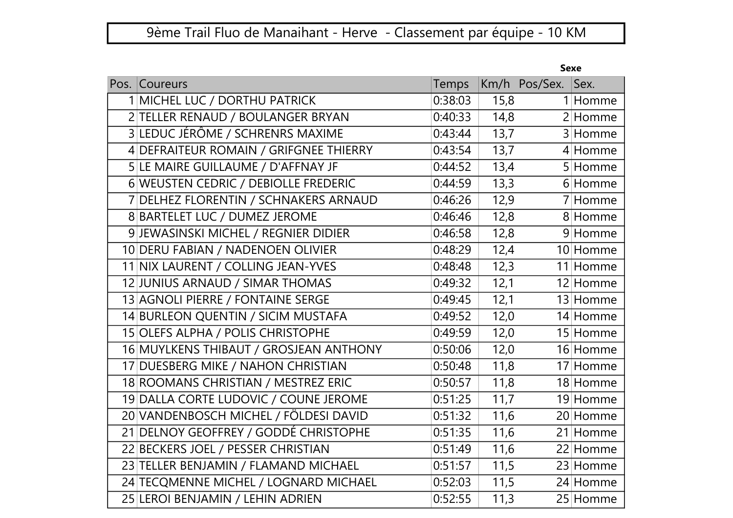|                                        | эехе    |                   |                       |
|----------------------------------------|---------|-------------------|-----------------------|
| Pos. Coureurs                          | Temps   |                   | Sex.<br>Km/h Pos/Sex. |
| 1 MICHEL LUC / DORTHU PATRICK          | 0:38:03 | 15,8              | 1 Homme               |
| 2 TELLER RENAUD / BOULANGER BRYAN      | 0:40:33 | 14,8              | 2 Homme               |
| 3 LEDUC JÉRÔME / SCHRENRS MAXIME       | 0:43:44 | 13,7              | 3 Homme               |
| 4 DEFRAITEUR ROMAIN / GRIFGNEE THIERRY | 0:43:54 | 13,7              | 4 Homme               |
| 5 LE MAIRE GUILLAUME / D'AFFNAY JF     | 0:44:52 | 13,4              | 5 Homme               |
| 6 WEUSTEN CEDRIC / DEBIOLLE FREDERIC   | 0:44:59 | 13,3              | 6 Homme               |
| 7 DELHEZ FLORENTIN / SCHNAKERS ARNAUD  | 0:46:26 | 12,9              | 7 Homme               |
| 8 BARTELET LUC / DUMEZ JEROME          | 0:46:46 | 12,8              | 8 Homme               |
| 9 JEWASINSKI MICHEL / REGNIER DIDIER   | 0:46:58 | 12,8              | 9 Homme               |
| 10 DERU FABIAN / NADENOEN OLIVIER      | 0:48:29 | 12,4              | 10 Homme              |
| 11 NIX LAURENT / COLLING JEAN-YVES     | 0:48:48 | 12,3              | 11 Homme              |
| 12 JUNIUS ARNAUD / SIMAR THOMAS        | 0:49:32 | 12,1              | 12 Homme              |
| 13 AGNOLI PIERRE / FONTAINE SERGE      | 0:49:45 | 12,1              | 13 Homme              |
| 14 BURLEON QUENTIN / SICIM MUSTAFA     | 0:49:52 | 12,0              | 14 Homme              |
| 15 OLEFS ALPHA / POLIS CHRISTOPHE      | 0:49:59 | 12,0              | 15 Homme              |
| 16 MUYLKENS THIBAUT / GROSJEAN ANTHONY | 0:50:06 | 12,0              | 16 Homme              |
| 17 DUESBERG MIKE / NAHON CHRISTIAN     | 0:50:48 | 11,8              | 17 Homme              |
| 18 ROOMANS CHRISTIAN / MESTREZ ERIC    | 0:50:57 | 11,8              | 18 Homme              |
| 19 DALLA CORTE LUDOVIC / COUNE JEROME  | 0:51:25 | 11,7              | 19 Homme              |
| 20 VANDENBOSCH MICHEL / FÖLDESI DAVID  | 0:51:32 | 11,6              | 20 Homme              |
| 21 DELNOY GEOFFREY / GODDÉ CHRISTOPHE  | 0:51:35 | 11,6              | 21 Homme              |
| 22 BECKERS JOEL / PESSER CHRISTIAN     | 0:51:49 | 11,6              | 22 Homme              |
| 23 TELLER BENJAMIN / FLAMAND MICHAEL   | 0:51:57 | 11,5              | 23 Homme              |
| 24 TECQMENNE MICHEL / LOGNARD MICHAEL  | 0:52:03 | 11,5              | 24 Homme              |
| 25 LEROI BENJAMIN / LEHIN ADRIEN       | 0:52:55 | $\overline{11,3}$ | 25 Homme              |

## Sexe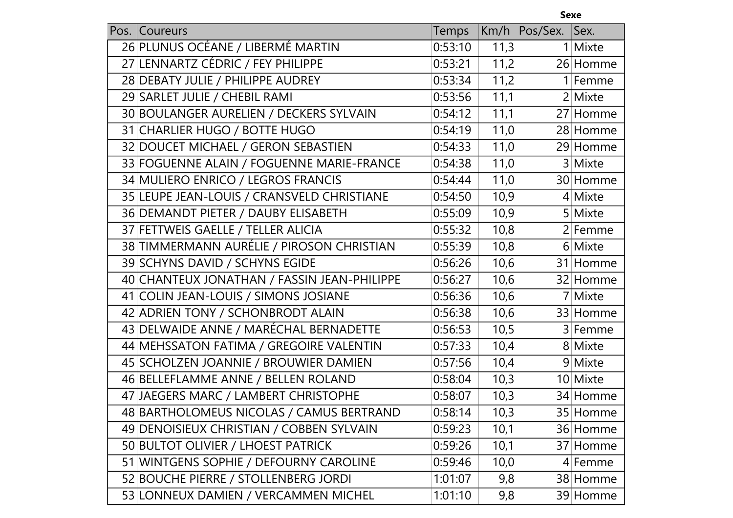|      |                                             |         |      | <b>Sexe</b> |           |  |
|------|---------------------------------------------|---------|------|-------------|-----------|--|
| Pos. | <b>Coureurs</b>                             | Temps   | Km/h | Pos/Sex.    | Sex.      |  |
|      | 26 PLUNUS OCÉANE / LIBERMÉ MARTIN           | 0:53:10 | 11,3 |             | 1 Mixte   |  |
|      | 27 LENNARTZ CÉDRIC / FEY PHILIPPE           | 0:53:21 | 11,2 |             | 26 Homme  |  |
|      | 28 DEBATY JULIE / PHILIPPE AUDREY           | 0:53:34 | 11,2 |             | 1 Femme   |  |
|      | 29 SARLET JULIE / CHEBIL RAMI               | 0:53:56 | 11,1 |             | 2 Mixte   |  |
|      | 30 BOULANGER AURELIEN / DECKERS SYLVAIN     | 0:54:12 | 11,1 |             | 27 Homme  |  |
|      | 31 CHARLIER HUGO / BOTTE HUGO               | 0:54:19 | 11,0 |             | 28 Homme  |  |
|      | 32 DOUCET MICHAEL / GERON SEBASTIEN         | 0:54:33 | 11,0 |             | 29 Homme  |  |
|      | 33 FOGUENNE ALAIN / FOGUENNE MARIE-FRANCE   | 0:54:38 | 11,0 |             | 3 Mixte   |  |
|      | 34 MULIERO ENRICO / LEGROS FRANCIS          | 0:54:44 | 11,0 |             | 30 Homme  |  |
|      | 35 LEUPE JEAN-LOUIS / CRANSVELD CHRISTIANE  | 0:54:50 | 10,9 |             | $4$ Mixte |  |
|      | 36 DEMANDT PIETER / DAUBY ELISABETH         | 0:55:09 | 10,9 |             | 5 Mixte   |  |
|      | 37 FETTWEIS GAELLE / TELLER ALICIA          | 0:55:32 | 10,8 |             | 2 Femme   |  |
|      | 38 TIMMERMANN AURÉLIE / PIROSON CHRISTIAN   | 0:55:39 | 10,8 |             | 6 Mixte   |  |
|      | 39 SCHYNS DAVID / SCHYNS EGIDE              | 0:56:26 | 10,6 |             | 31 Homme  |  |
|      | 40 CHANTEUX JONATHAN / FASSIN JEAN-PHILIPPE | 0:56:27 | 10,6 |             | 32 Homme  |  |
|      | 41 COLIN JEAN-LOUIS / SIMONS JOSIANE        | 0:56:36 | 10,6 |             | 7 Mixte   |  |
|      | 42 ADRIEN TONY / SCHONBRODT ALAIN           | 0:56:38 | 10,6 |             | 33 Homme  |  |
|      | 43 DELWAIDE ANNE / MARÉCHAL BERNADETTE      | 0:56:53 | 10,5 |             | 3 Femme   |  |
|      | 44 MEHSSATON FATIMA / GREGOIRE VALENTIN     | 0:57:33 | 10,4 |             | 8 Mixte   |  |
|      | 45 SCHOLZEN JOANNIE / BROUWIER DAMIEN       | 0:57:56 | 10,4 |             | 9 Mixte   |  |
|      | 46 BELLEFLAMME ANNE / BELLEN ROLAND         | 0:58:04 | 10,3 |             | 10 Mixte  |  |
|      | 47 JAEGERS MARC / LAMBERT CHRISTOPHE        | 0:58:07 | 10,3 |             | 34 Homme  |  |
|      | 48 BARTHOLOMEUS NICOLAS / CAMUS BERTRAND    | 0:58:14 | 10,3 |             | 35 Homme  |  |
|      | 49 DENOISIEUX CHRISTIAN / COBBEN SYLVAIN    | 0:59:23 | 10,1 |             | 36 Homme  |  |
|      | 50 BULTOT OLIVIER / LHOEST PATRICK          | 0:59:26 | 10,1 |             | 37 Homme  |  |
|      | 51 WINTGENS SOPHIE / DEFOURNY CAROLINE      | 0:59:46 | 10,0 |             | 4 Femme   |  |
|      | 52 BOUCHE PIERRE / STOLLENBERG JORDI        | 1:01:07 | 9,8  |             | 38 Homme  |  |
|      | 53 LONNEUX DAMIEN / VERCAMMEN MICHEL        | 1:01:10 | 9,8  |             | 39 Homme  |  |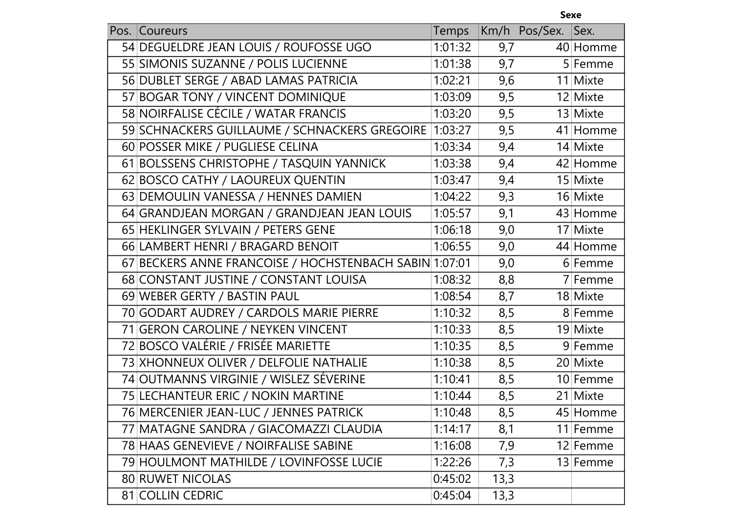|      |                                                        |         |      | <b>Sexe</b> |          |
|------|--------------------------------------------------------|---------|------|-------------|----------|
| Pos. | Coureurs                                               | Temps   | Km/h | Pos/Sex.    | Sex.     |
|      | 54 DEGUELDRE JEAN LOUIS / ROUFOSSE UGO                 | 1:01:32 | 9,7  |             | 40 Homme |
|      | 55 SIMONIS SUZANNE / POLIS LUCIENNE                    | 1:01:38 | 9,7  |             | 5 Femme  |
|      | 56 DUBLET SERGE / ABAD LAMAS PATRICIA                  | 1:02:21 | 9,6  |             | 11 Mixte |
|      | 57 BOGAR TONY / VINCENT DOMINIQUE                      | 1:03:09 | 9,5  |             | 12 Mixte |
|      | 58 NOIRFALISE CÉCILE / WATAR FRANCIS                   | 1:03:20 | 9,5  |             | 13 Mixte |
|      | 59 SCHNACKERS GUILLAUME / SCHNACKERS GREGOIRE          | 1:03:27 | 9,5  |             | 41 Homme |
|      | 60 POSSER MIKE / PUGLIESE CELINA                       | 1:03:34 | 9,4  |             | 14 Mixte |
|      | 61 BOLSSENS CHRISTOPHE / TASQUIN YANNICK               | 1:03:38 | 9,4  |             | 42 Homme |
|      | 62 BOSCO CATHY / LAOUREUX QUENTIN                      | 1:03:47 | 9,4  |             | 15 Mixte |
|      | 63 DEMOULIN VANESSA / HENNES DAMIEN                    | 1:04:22 | 9,3  |             | 16 Mixte |
|      | 64 GRANDJEAN MORGAN / GRANDJEAN JEAN LOUIS             | 1:05:57 | 9,1  |             | 43 Homme |
|      | 65 HEKLINGER SYLVAIN / PETERS GENE                     | 1:06:18 | 9,0  |             | 17 Mixte |
|      | 66 LAMBERT HENRI / BRAGARD BENOIT                      | 1:06:55 | 9,0  |             | 44 Homme |
|      | 67 BECKERS ANNE FRANCOISE / HOCHSTENBACH SABIN 1:07:01 |         | 9,0  |             | 6 Femme  |
|      | 68 CONSTANT JUSTINE / CONSTANT LOUISA                  | 1:08:32 | 8,8  |             | 7 Femme  |
|      | 69 WEBER GERTY / BASTIN PAUL                           | 1:08:54 | 8,7  |             | 18 Mixte |
|      | 70 GODART AUDREY / CARDOLS MARIE PIERRE                | 1:10:32 | 8,5  |             | 8 Femme  |
|      | 71 GERON CAROLINE / NEYKEN VINCENT                     | 1:10:33 | 8,5  |             | 19 Mixte |
|      | 72 BOSCO VALÉRIE / FRISÉE MARIETTE                     | 1:10:35 | 8,5  |             | 9 Femme  |
|      | 73 XHONNEUX OLIVER / DELFOLIE NATHALIE                 | 1:10:38 | 8,5  |             | 20 Mixte |
|      | 74 OUTMANNS VIRGINIE / WISLEZ SÉVERINE                 | 1:10:41 | 8,5  |             | 10 Femme |
|      | 75 LECHANTEUR ERIC / NOKIN MARTINE                     | 1:10:44 | 8,5  |             | 21 Mixte |
|      | 76 MERCENIER JEAN-LUC / JENNES PATRICK                 | 1:10:48 | 8,5  |             | 45 Homme |
|      | 77 MATAGNE SANDRA / GIACOMAZZI CLAUDIA                 | 1:14:17 | 8,1  |             | 11 Femme |
|      | 78 HAAS GENEVIEVE / NOIRFALISE SABINE                  | 1:16:08 | 7,9  |             | 12 Femme |
|      | 79 HOULMONT MATHILDE / LOVINFOSSE LUCIE                | 1:22:26 | 7,3  |             | 13 Femme |
|      | <b>80 RUWET NICOLAS</b>                                | 0:45:02 | 13,3 |             |          |
|      | 81 COLLIN CEDRIC                                       | 0:45:04 | 13,3 |             |          |